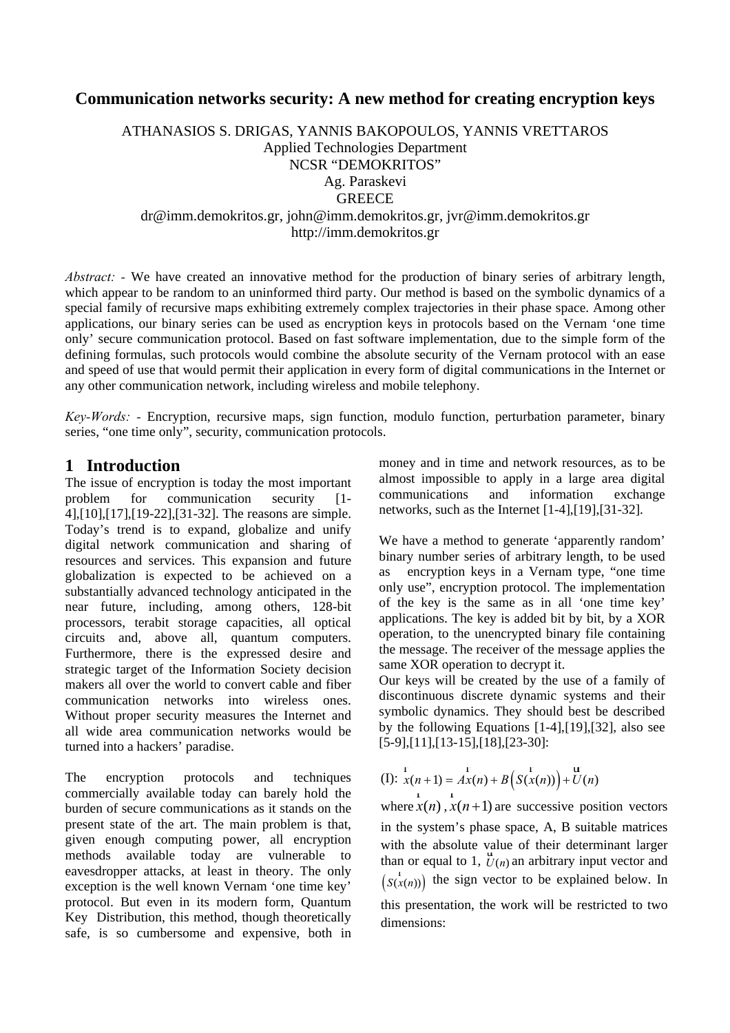#### **Communication networks security: A new method for creating encryption keys**

ATHANASIOS S. DRIGAS, YANNIS BAKOPOULOS, YANNIS VRETTAROS Applied Technologies Department NCSR "DEMOKRITOS" Ag. Paraskevi **GREECE** dr@imm.demokritos.gr, john@imm.demokritos.gr, jvr@imm.demokritos.gr http://imm.demokritos.gr

*Abstract:* - We have created an innovative method for the production of binary series of arbitrary length, which appear to be random to an uninformed third party. Our method is based on the symbolic dynamics of a special family of recursive maps exhibiting extremely complex trajectories in their phase space. Among other applications, our binary series can be used as encryption keys in protocols based on the Vernam 'one time only' secure communication protocol. Based on fast software implementation, due to the simple form of the defining formulas, such protocols would combine the absolute security of the Vernam protocol with an ease and speed of use that would permit their application in every form of digital communications in the Internet or any other communication network, including wireless and mobile telephony.

*Key-Words: -* Encryption, recursive maps, sign function, modulo function, perturbation parameter, binary series, "one time only", security, communication protocols.

#### **1 Introduction**

The issue of encryption is today the most important problem for communication security [1- 4],[10],[17],[19-22],[31-32]. The reasons are simple. Today's trend is to expand, globalize and unify digital network communication and sharing of resources and services. This expansion and future globalization is expected to be achieved on a substantially advanced technology anticipated in the near future, including, among others, 128-bit processors, terabit storage capacities, all optical circuits and, above all, quantum computers. Furthermore, there is the expressed desire and strategic target of the Information Society decision makers all over the world to convert cable and fiber communication networks into wireless ones. Without proper security measures the Internet and all wide area communication networks would be turned into a hackers' paradise.

The encryption protocols and techniques commercially available today can barely hold the burden of secure communications as it stands on the present state of the art. The main problem is that, given enough computing power, all encryption methods available today are vulnerable to eavesdropper attacks, at least in theory. The only exception is the well known Vernam 'one time key' protocol. But even in its modern form, Quantum Key Distribution, this method, though theoretically safe, is so cumbersome and expensive, both in money and in time and network resources, as to be almost impossible to apply in a large area digital communications and information exchange networks, such as the Internet [1-4],[19],[31-32].

We have a method to generate 'apparently random' binary number series of arbitrary length, to be used as encryption keys in a Vernam type, "one time only use", encryption protocol. The implementation of the key is the same as in all 'one time key' applications. The key is added bit by bit, by a XOR operation, to the unencrypted binary file containing the message. The receiver of the message applies the same XOR operation to decrypt it.

Our keys will be created by the use of a family of discontinuous discrete dynamic systems and their symbolic dynamics. They should best be described by the following Equations [1-4],[19],[32], also see [5-9],[11],[13-15],[18],[23-30]:

(I): 
$$
x(n+1) = Ax(n) + B(S(x(n))) + U(n)
$$

where  $\overrightarrow{x}(n)$ ,  $\overrightarrow{x}(n+1)$ are successive position vectors in the system's phase space, A, B suitable matrices with the absolute value of their determinant larger than or equal to 1,  $\mathcal{U}(n)$  an arbitrary input vector and  $(s_{(x(n))}^{1})$  the sign vector to be explained below. In this presentation, the work will be restricted to two dimensions: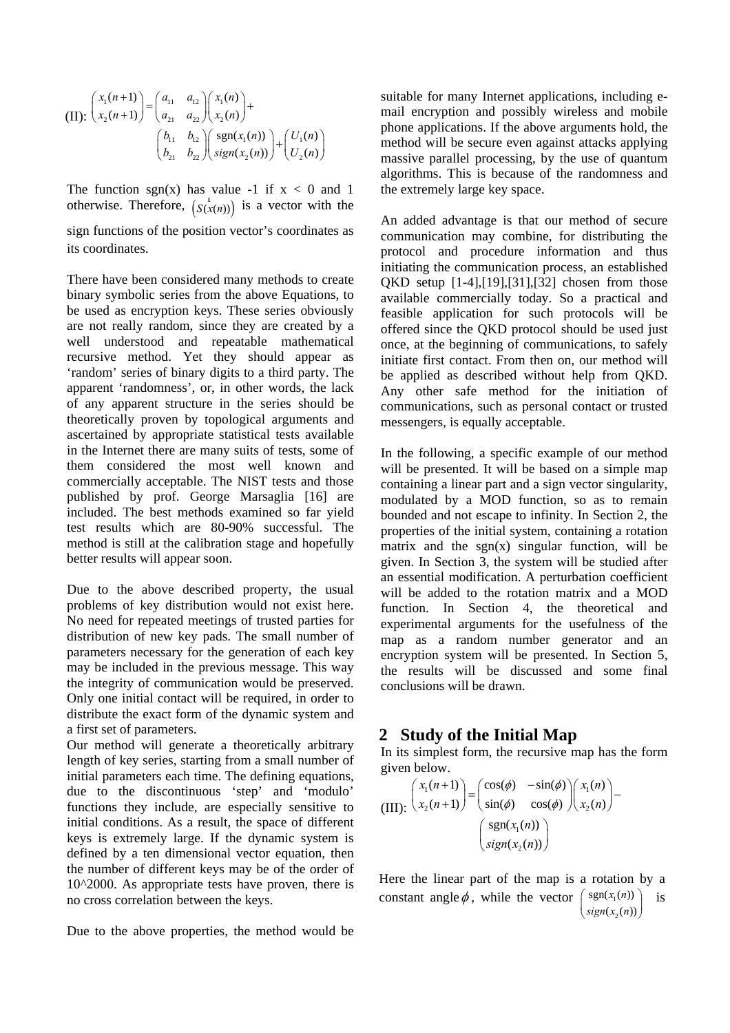(II): 
$$
\begin{pmatrix} x_1(n+1) \\ x_2(n+1) \end{pmatrix} = \begin{pmatrix} a_{11} & a_{12} \\ a_{21} & a_{22} \end{pmatrix} \begin{pmatrix} x_1(n) \\ x_2(n) \end{pmatrix} +
$$

$$
\begin{pmatrix} b_{11} & b_{12} \\ b_{21} & b_{22} \end{pmatrix} \begin{pmatrix} \text{sgn}(x_1(n)) \\ \text{sign}(x_2(n)) \end{pmatrix} + \begin{pmatrix} U_1(n) \\ U_2(n) \end{pmatrix}
$$

otherwise. Therefore,  $(S(x(n))$  is a vector with the The function sgn(x) has value -1 if  $x < 0$  and 1

sign functions of the position vector's coordinates as its coordinates.

There have been considered many methods to create binary symbolic series from the above Equations, to be used as encryption keys. These series obviously are not really random, since they are created by a well understood and repeatable mathematical recursive method. Yet they should appear as 'random' series of binary digits to a third party. The apparent 'randomness', or, in other words, the lack of any apparent structure in the series should be theoretically proven by topological arguments and ascertained by appropriate statistical tests available in the Internet there are many suits of tests, some of them considered the most well known and commercially acceptable. The NIST tests and those published by prof. George Marsaglia [16] are included. The best methods examined so far yield test results which are 80-90% successful. The method is still at the calibration stage and hopefully better results will appear soon.

Due to the above described property, the usual problems of key distribution would not exist here. No need for repeated meetings of trusted parties for distribution of new key pads. The small number of parameters necessary for the generation of each key may be included in the previous message. This way the integrity of communication would be preserved. Only one initial contact will be required, in order to distribute the exact form of the dynamic system and a first set of parameters.

Our method will generate a theoretically arbitrary length of key series, starting from a small number of initial parameters each time. The defining equations, due to the discontinuous 'step' and 'modulo' functions they include, are especially sensitive to initial conditions. As a result, the space of different keys is extremely large. If the dynamic system is defined by a ten dimensional vector equation, then the number of different keys may be of the order of 10^2000. As appropriate tests have proven, there is no cross correlation between the keys.

Due to the above properties, the method would be

suitable for many Internet applications, including email encryption and possibly wireless and mobile phone applications. If the above arguments hold, the method will be secure even against attacks applying massive parallel processing, by the use of quantum algorithms. This is because of the randomness and the extremely large key space.

An added advantage is that our method of secure communication may combine, for distributing the protocol and procedure information and thus initiating the communication process, an established QKD setup [1-4],[19],[31],[32] chosen from those available commercially today. So a practical and feasible application for such protocols will be offered since the QKD protocol should be used just once, at the beginning of communications, to safely initiate first contact. From then on, our method will be applied as described without help from QKD. Any other safe method for the initiation of communications, such as personal contact or trusted messengers, is equally acceptable.

In the following, a specific example of our method will be presented. It will be based on a simple map containing a linear part and a sign vector singularity, modulated by a MOD function, so as to remain bounded and not escape to infinity. In Section 2, the properties of the initial system, containing a rotation matrix and the  $sgn(x)$  singular function, will be given. In Section 3, the system will be studied after an essential modification. A perturbation coefficient will be added to the rotation matrix and a MOD function. In Section 4, the theoretical and experimental arguments for the usefulness of the map as a random number generator and an encryption system will be presented. In Section 5, the results will be discussed and some final conclusions will be drawn.

### **2 Study of the Initial Map**

In its simplest form, the recursive map has the form given below.

(III): 
$$
\begin{pmatrix} x_1(n+1) \\ x_2(n+1) \end{pmatrix} = \begin{pmatrix} \cos(\phi) & -\sin(\phi) \\ \sin(\phi) & \cos(\phi) \end{pmatrix} \begin{pmatrix} x_1(n) \\ x_2(n) \end{pmatrix} - \begin{pmatrix} \text{sgn}(x_1(n)) \\ \text{sign}(x_2(n)) \end{pmatrix}
$$

Here the linear part of the map is a rotation by a constant angle  $\phi$ , while the vector  $\begin{pmatrix} \text{sgn}(x_1(n)) \\ \text{sgn}(x_n(n)) \end{pmatrix}$  is  $\begin{pmatrix} \text{sgn}(x_1(n)) \\ \text{sign}(x_2(n)) \end{pmatrix}$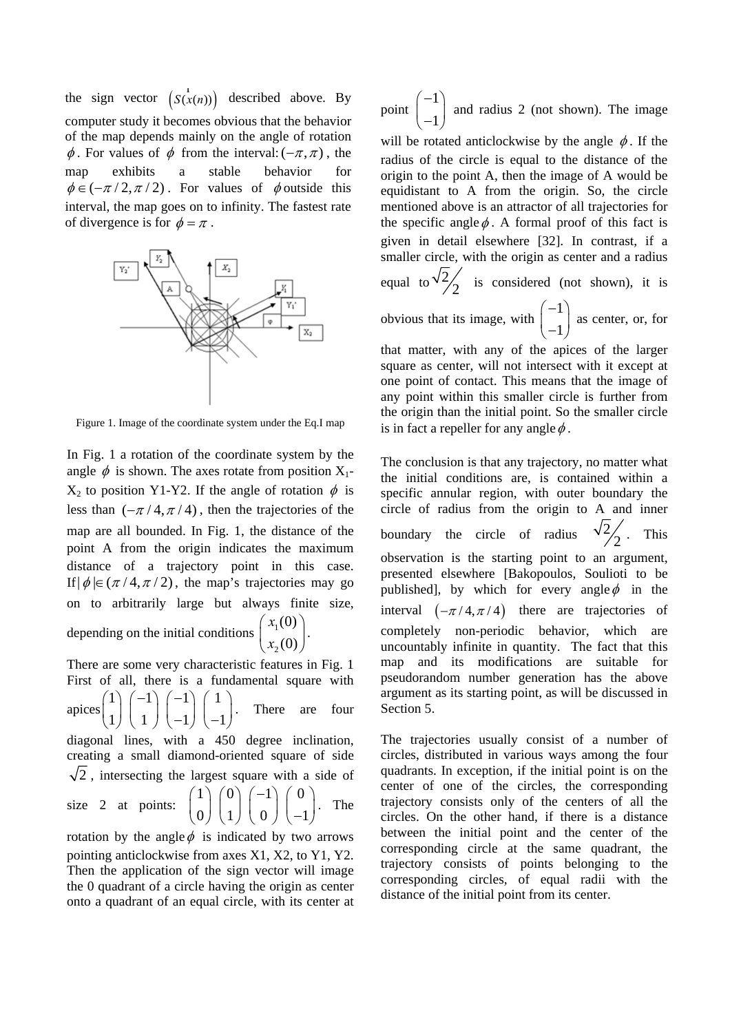the sign vector  $(S(x(n)))$  described above. By computer study it becomes obvious that the behavior of the map depends mainly on the angle of rotation  $\phi$ . For values of  $\phi$  from the interval:  $(-\pi, \pi)$ , the map exhibits a stable behavior for  $\phi \in (-\pi/2, \pi/2)$ . For values of  $\phi$  outside this interval, the map goes on to infinity. The fastest rate of divergence is for  $\phi = \pi$ .



Figure 1. Image of the coordinate system under the Eq.I map

In Fig. 1 a rotation of the coordinate system by the angle  $\phi$  is shown. The axes rotate from position X<sub>1</sub>- $X_2$  to position Y1-Y2. If the angle of rotation  $\phi$  is less than  $(-\pi/4, \pi/4)$ , then the trajectories of the map are all bounded. In Fig. 1, the distance of the point A from the origin indicates the maximum distance of a trajectory point in this case. If  $|\phi| \in (\pi/4, \pi/2)$ , the map's trajectories may go on to arbitrarily large but always finite size, depending on the initial conditions  $\begin{bmatrix} x_1 \cdot 0 \\ x_2 \end{bmatrix}$ . (0) (0) *x*  $\begin{pmatrix} x_1(0) \ x_2(0) \end{pmatrix}$ 

There are some very characteristic features in Fig. 1 First of all, there is a fundamental square with apices  $\begin{bmatrix} 1 & 1 \\ 1 & 1 \end{bmatrix}$   $\begin{bmatrix} 1 & 1 \\ 1 & 1 \end{bmatrix}$ . There are four diagonal lines, with a 450 degree inclination, creating a small diamond-oriented square of side  $\begin{pmatrix} 1 \\ 1 \end{pmatrix} \begin{pmatrix} -1 \\ 1 \end{pmatrix} \begin{pmatrix} -1 \\ -1 \end{pmatrix} \begin{pmatrix} 1 \\ -1 \end{pmatrix}$  $\sqrt{2}$ , intersecting the largest square with a side of size 2 at points:  $\begin{bmatrix} 1 \\ 2 \end{bmatrix} \begin{bmatrix} 1 \\ 2 \end{bmatrix} \begin{bmatrix} 1 \\ 2 \end{bmatrix}$ . The rotation by the angle  $\phi$  is indicated by two arrows  $\begin{pmatrix} 1 \ 0 \end{pmatrix} \begin{pmatrix} 0 \ 1 \end{pmatrix} \begin{pmatrix} -1 \ 0 \end{pmatrix} \begin{pmatrix} 0 \ -1 \end{pmatrix}$ 

2

pointing anticlockwise from axes X1, X2, to Y1, Y2. Then the application of the sign vector will image the 0 quadrant of a circle having the origin as center onto a quadrant of an equal circle, with its center at

point 1 1  $(-1)$  $\begin{pmatrix} 1 \\ -1 \end{pmatrix}$  and radius 2 (not shown). The image will be rotated anticlockwise by the angle  $\phi$ . If the radius of the circle is equal to the distance of the origin to the point A, then the image of A would be equidistant to A from the origin. So, the circle mentioned above is an attractor of all trajectories for the specific angle  $\phi$ . A formal proof of this fact is given in detail elsewhere [32]. In contrast, if a smaller circle, with the origin as center and a radius equal to  $\sqrt{2}/2$  is considered (not shown), it is obvious that its image, with  $\begin{bmatrix} 1 \end{bmatrix}$  as center, or, for that matter, with any of the apices of the larger 1 1  $(-1)$  $\begin{pmatrix} -1 \end{pmatrix}$ 

square as center, will not intersect with it except at one point of contact. This means that the image of any point within this smaller circle is further from the origin than the initial point. So the smaller circle is in fact a repeller for any angle  $\phi$ .

The conclusion is that any trajectory, no matter what the initial conditions are, is contained within a specific annular region, with outer boundary the circle of radius from the origin to A and inner boundary the circle of radius  $\sqrt{2}$ . **This** observation is the starting point to an argument, presented elsewhere [Bakopoulos, Soulioti to be published], by which for every angle  $\phi$  in the interval  $(-\pi/4, \pi/4)$  there are trajectories of completely non-periodic behavior, which are uncountably infinite in quantity. The fact that this map and its modifications are suitable for pseudorandom number generation has the above argument as its starting point, as will be discussed in Section 5.

The trajectories usually consist of a number of circles, distributed in various ways among the four quadrants. In exception, if the initial point is on the center of one of the circles, the corresponding trajectory consists only of the centers of all the circles. On the other hand, if there is a distance between the initial point and the center of the corresponding circle at the same quadrant, the trajectory consists of points belonging to the corresponding circles, of equal radii with the distance of the initial point from its center.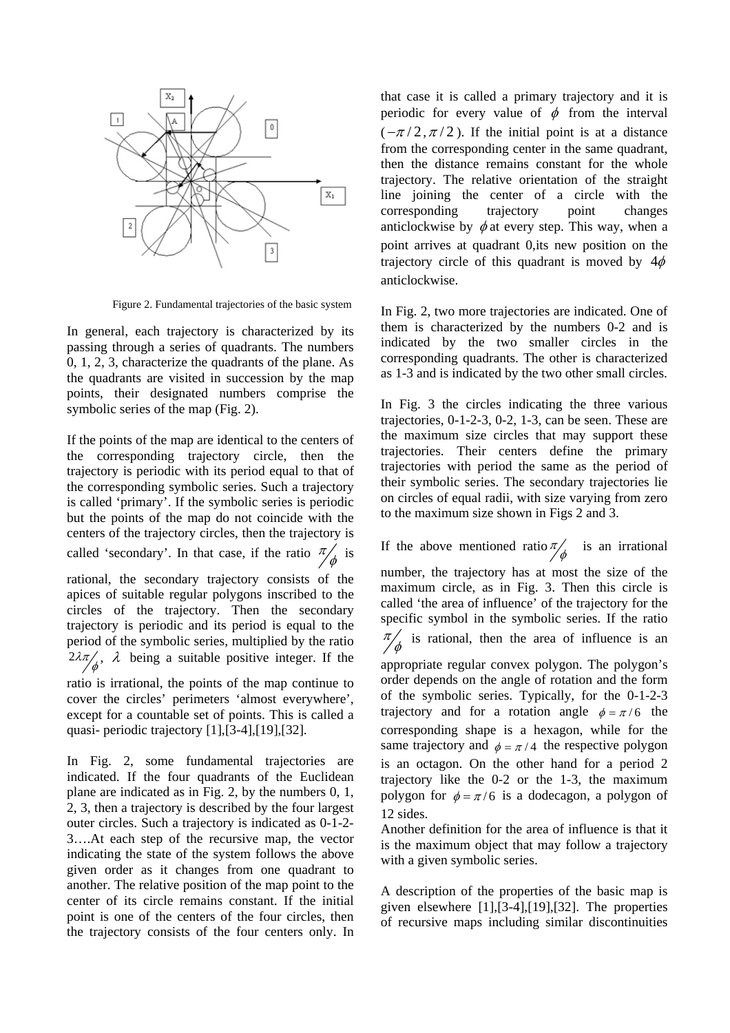

Figure 2. Fundamental trajectories of the basic system

In general, each trajectory is characterized by its passing through a series of quadrants. The numbers 0, 1, 2, 3, characterize the quadrants of the plane. As the quadrants are visited in succession by the map points, their designated numbers comprise the symbolic series of the map (Fig. 2).

If the points of the map are identical to the centers of the corresponding trajectory circle, then the trajectory is periodic with its period equal to that of the corresponding symbolic series. Such a trajectory is called 'primary'. If the symbolic series is periodic but the points of the map do not coincide with the centers of the trajectory circles, then the trajectory is called 'secondary'. In that case, if the ratio  $\frac{\pi}{\phi}$  is rational, the secondary trajectory consists of the apices of suitable regular polygons inscribed to the circles of the trajectory. Then the secondary trajectory is periodic and its period is equal to the period of the symbolic series, multiplied by the ratio 2λπ  $\phi$ ,  $\lambda$  being a suitable positive integer. If the

ratio is irrational, the points of the map continue to cover the circles' perimeters 'almost everywhere', except for a countable set of points. This is called a quasi- periodic trajectory [1],[3-4],[19],[32].

In Fig. 2, some fundamental trajectories are indicated. If the four quadrants of the Euclidean plane are indicated as in Fig. 2, by the numbers 0, 1, 2, 3, then a trajectory is described by the four largest outer circles. Such a trajectory is indicated as 0-1-2- 3….At each step of the recursive map, the vector indicating the state of the system follows the above given order as it changes from one quadrant to another. The relative position of the map point to the center of its circle remains constant. If the initial point is one of the centers of the four circles, then the trajectory consists of the four centers only. In

that case it is called a primary trajectory and it is periodic for every value of  $\phi$  from the interval  $(-\pi/2, \pi/2)$ . If the initial point is at a distance from the corresponding center in the same quadrant, then the distance remains constant for the whole trajectory. The relative orientation of the straight line joining the center of a circle with the corresponding trajectory point changes anticlockwise by  $\phi$  at every step. This way, when a point arrives at quadrant 0,its new position on the trajectory circle of this quadrant is moved by  $4\phi$ anticlockwise.

In Fig. 2, two more trajectories are indicated. One of them is characterized by the numbers 0-2 and is indicated by the two smaller circles in the corresponding quadrants. The other is characterized as 1-3 and is indicated by the two other small circles.

In Fig. 3 the circles indicating the three various trajectories, 0-1-2-3, 0-2, 1-3, can be seen. These are the maximum size circles that may support these trajectories. Their centers define the primary trajectories with period the same as the period of their symbolic series. The secondary trajectories lie on circles of equal radii, with size varying from zero to the maximum size shown in Figs 2 and 3.

If the above mentioned ratio $\pi/\phi$  is an irrational number, the trajectory has at most the size of the maximum circle, as in Fig. 3. Then this circle is called 'the area of influence' of the trajectory for the specific symbol in the symbolic series. If the ratio  $\pi/\phi$  is rational, then the area of influence is an appropriate regular convex polygon. The polygon's order depends on the angle of rotation and the form of the symbolic series. Typically, for the 0-1-2-3 trajectory and for a rotation angle  $\phi = \pi/6$  the corresponding shape is a hexagon, while for the same trajectory and  $\phi = \pi/4$  the respective polygon is an octagon. On the other hand for a period 2 trajectory like the 0-2 or the 1-3, the maximum polygon for  $\phi = \pi/6$  is a dodecagon, a polygon of 12 sides.

Another definition for the area of influence is that it is the maximum object that may follow a trajectory with a given symbolic series.

A description of the properties of the basic map is given elsewhere [1],[3-4],[19],[32]. The properties of recursive maps including similar discontinuities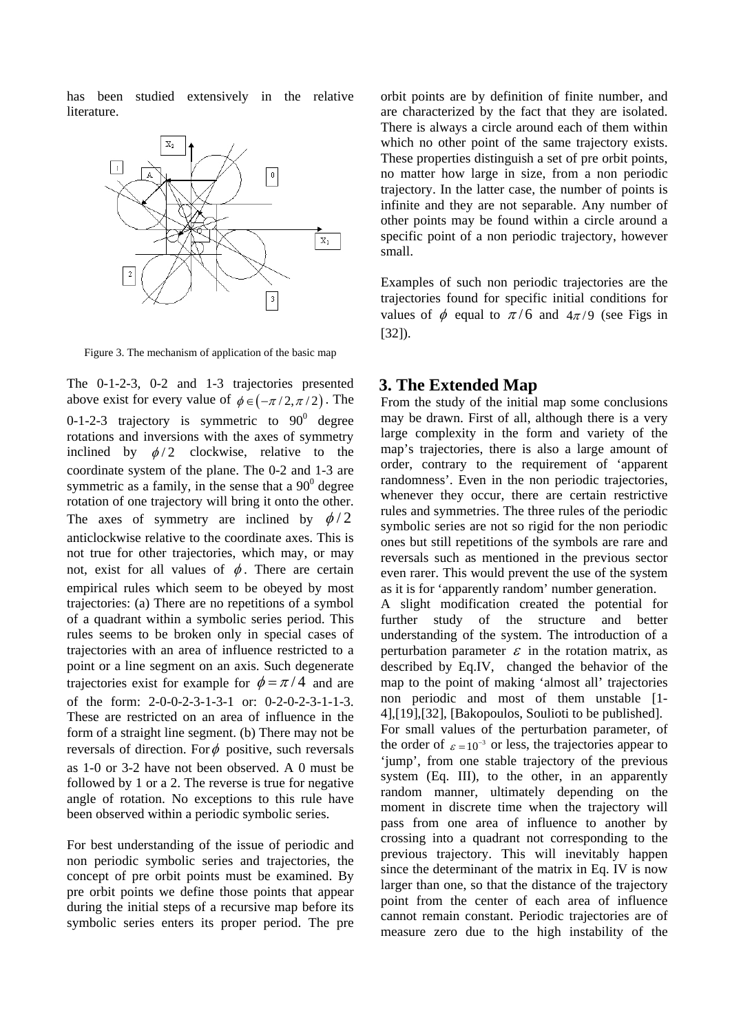has been studied extensively in the relative literature.



Figure 3. The mechanism of application of the basic map

The 0-1-2-3, 0-2 and 1-3 trajectories presented above exist for every value of  $\phi \in (-\pi/2, \pi/2)$ . The 0-1-2-3 trajectory is symmetric to  $90^{\circ}$  degree rotations and inversions with the axes of symmetry inclined by  $\phi/2$  clockwise, relative to the coordinate system of the plane. The 0-2 and 1-3 are symmetric as a family, in the sense that a  $90^{\circ}$  degree rotation of one trajectory will bring it onto the other. The axes of symmetry are inclined by  $\phi/2$ anticlockwise relative to the coordinate axes. This is not true for other trajectories, which may, or may not, exist for all values of  $\phi$ . There are certain empirical rules which seem to be obeyed by most trajectories: (a) There are no repetitions of a symbol of a quadrant within a symbolic series period. This rules seems to be broken only in special cases of trajectories with an area of influence restricted to a point or a line segment on an axis. Such degenerate trajectories exist for example for  $\phi = \pi/4$  and are of the form: 2-0-0-2-3-1-3-1 or: 0-2-0-2-3-1-1-3. These are restricted on an area of influence in the form of a straight line segment. (b) There may not be reversals of direction. For  $\phi$  positive, such reversals as 1-0 or 3-2 have not been observed. A 0 must be followed by 1 or a 2. The reverse is true for negative angle of rotation. No exceptions to this rule have been observed within a periodic symbolic series.

For best understanding of the issue of periodic and non periodic symbolic series and trajectories, the concept of pre orbit points must be examined. By pre orbit points we define those points that appear during the initial steps of a recursive map before its symbolic series enters its proper period. The pre orbit points are by definition of finite number, and are characterized by the fact that they are isolated. There is always a circle around each of them within which no other point of the same trajectory exists. These properties distinguish a set of pre orbit points, no matter how large in size, from a non periodic trajectory. In the latter case, the number of points is infinite and they are not separable. Any number of other points may be found within a circle around a specific point of a non periodic trajectory, however small.

Examples of such non periodic trajectories are the trajectories found for specific initial conditions for values of  $\phi$  equal to  $\pi/6$  and  $4\pi/9$  (see Figs in [32]).

### **3. The Extended Map**

From the study of the initial map some conclusions may be drawn. First of all, although there is a very large complexity in the form and variety of the map's trajectories, there is also a large amount of order, contrary to the requirement of 'apparent randomness'. Even in the non periodic trajectories, whenever they occur, there are certain restrictive rules and symmetries. The three rules of the periodic symbolic series are not so rigid for the non periodic ones but still repetitions of the symbols are rare and reversals such as mentioned in the previous sector even rarer. This would prevent the use of the system as it is for 'apparently random' number generation.

A slight modification created the potential for further study of the structure and better understanding of the system. The introduction of a perturbation parameter  $\varepsilon$  in the rotation matrix, as described by Eq.IV, changed the behavior of the map to the point of making 'almost all' trajectories non periodic and most of them unstable [1- 4],[19],[32], [Bakopoulos, Soulioti to be published]. For small values of the perturbation parameter, of the order of  $\varepsilon = 10^{-3}$  or less, the trajectories appear to 'jump', from one stable trajectory of the previous system (Eq. III), to the other, in an apparently random manner, ultimately depending on the moment in discrete time when the trajectory will pass from one area of influence to another by crossing into a quadrant not corresponding to the previous trajectory. This will inevitably happen since the determinant of the matrix in Eq. IV is now larger than one, so that the distance of the trajectory point from the center of each area of influence cannot remain constant. Periodic trajectories are of measure zero due to the high instability of the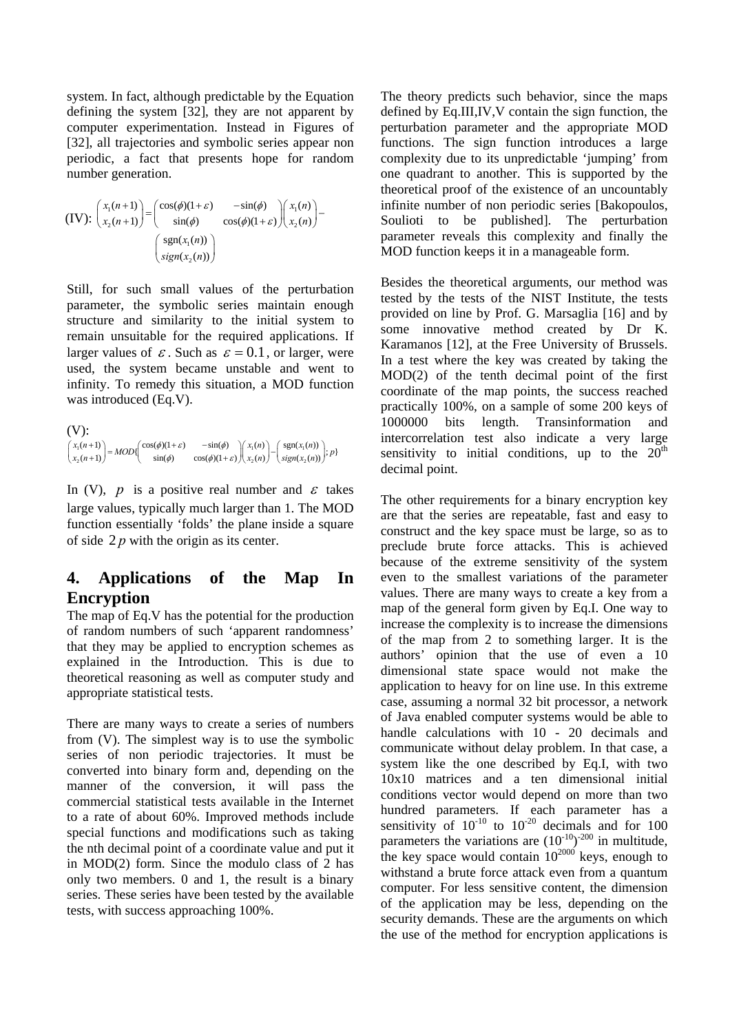system. In fact, although predictable by the Equation defining the system [32], they are not apparent by computer experimentation. Instead in Figures of [32], all trajectories and symbolic series appear non periodic, a fact that presents hope for random number generation.

$$
(IV): \begin{pmatrix} x_1(n+1) \\ x_2(n+1) \end{pmatrix} = \begin{pmatrix} \cos(\phi)(1+\varepsilon) & -\sin(\phi) \\ \sin(\phi) & \cos(\phi)(1+\varepsilon) \end{pmatrix} \begin{pmatrix} x_1(n) \\ x_2(n) \end{pmatrix} - \begin{pmatrix} \text{sgn}(x_1(n)) \\ \text{sign}(x_2(n)) \end{pmatrix}
$$

Still, for such small values of the perturbation parameter, the symbolic series maintain enough structure and similarity to the initial system to remain unsuitable for the required applications. If larger values of  $\varepsilon$ . Such as  $\varepsilon = 0.1$ , or larger, were used, the system became unstable and went to infinity. To remedy this situation, a MOD function was introduced (Eq.V).

```
(V): 
  \left\{ \begin{array}{l} \left| \begin{array}{c} \mu + 1 \end{array} \right| = \mu \text{ on } \mathbb{I} \end{array} \right. \text{ (by (1)} \left\{ \begin{array}{l} \text{cos}(\psi) \left( 1 + \varepsilon \right) \end{array} \right. = \text{sin}(\psi) \left\{ \begin{array}{l} \left| \begin{array}{c} \mu_1(n) \end{array} \right| = \text{sgn}(\lambda_1) \end{array} \right.\begin{pmatrix} x_1(n+1) \\ x_2(n+1) \end{pmatrix} = MOD\left(\begin{matrix} \cos(\phi)(1+\varepsilon) & -\sin(\phi) \\ \sin(\phi) & \cos(\phi)(1+\varepsilon) \end{matrix} \right) \begin{pmatrix} x_1(n) \\ x_2(n) \end{pmatrix} - \begin{pmatrix} \text{sgn}(x_1(n)) \\ \text{sign}(x_2(n)) \end{pmatrix}; p\}\begin{pmatrix} x_1(n+1) \\ x_2(n+1) \end{pmatrix} = MOD \begin{pmatrix} \cos(\phi)(1+\varepsilon) & -\sin(\phi) \\ \sin(\phi) & \cos(\phi)(1+\varepsilon) \end{pmatrix} \begin{pmatrix} x_1(n) \\ x_2(n) \end{pmatrix} - \begin{pmatrix} \text{sgn}(x_1(n)) \\ \text{sgn}(x_2(n)) \end{pmatrix}
```
In (V),  $p$  is a positive real number and  $\varepsilon$  takes large values, typically much larger than 1. The MOD function essentially 'folds' the plane inside a square of side 2 *p* with the origin as its center.

# **4. Applications of the Map In Encryption**

The map of Eq.V has the potential for the production of random numbers of such 'apparent randomness' that they may be applied to encryption schemes as explained in the Introduction. This is due to theoretical reasoning as well as computer study and appropriate statistical tests.

There are many ways to create a series of numbers from (V). The simplest way is to use the symbolic series of non periodic trajectories. It must be converted into binary form and, depending on the manner of the conversion, it will pass the commercial statistical tests available in the Internet to a rate of about 60%. Improved methods include special functions and modifications such as taking the nth decimal point of a coordinate value and put it in MOD(2) form. Since the modulo class of 2 has only two members. 0 and 1, the result is a binary series. These series have been tested by the available tests, with success approaching 100%.

The theory predicts such behavior, since the maps defined by Eq.III,IV,V contain the sign function, the perturbation parameter and the appropriate MOD functions. The sign function introduces a large complexity due to its unpredictable 'jumping' from one quadrant to another. This is supported by the theoretical proof of the existence of an uncountably infinite number of non periodic series [Bakopoulos, Soulioti to be published]. The perturbation parameter reveals this complexity and finally the MOD function keeps it in a manageable form.

Besides the theoretical arguments, our method was tested by the tests of the NIST Institute, the tests provided on line by Prof. G. Marsaglia [16] and by some innovative method created by Dr K. Karamanos [12], at the Free University of Brussels. In a test where the key was created by taking the MOD(2) of the tenth decimal point of the first coordinate of the map points, the success reached practically 100%, on a sample of some 200 keys of 1000000 bits length. Transinformation and intercorrelation test also indicate a very large sensitivity to initial conditions, up to the  $20<sup>th</sup>$ decimal point.

The other requirements for a binary encryption key are that the series are repeatable, fast and easy to construct and the key space must be large, so as to preclude brute force attacks. This is achieved because of the extreme sensitivity of the system even to the smallest variations of the parameter values. There are many ways to create a key from a map of the general form given by Eq.I. One way to increase the complexity is to increase the dimensions of the map from 2 to something larger. It is the authors' opinion that the use of even a 10 dimensional state space would not make the application to heavy for on line use. In this extreme case, assuming a normal 32 bit processor, a network of Java enabled computer systems would be able to handle calculations with 10 - 20 decimals and communicate without delay problem. In that case, a system like the one described by Eq.I, with two 10x10 matrices and a ten dimensional initial conditions vector would depend on more than two hundred parameters. If each parameter has a sensitivity of  $10^{-10}$  to  $10^{-20}$  decimals and for 100 parameters the variations are  $(10^{-10})^{-200}$  in multitude, the key space would contain  $10^{2000}$  keys, enough to withstand a brute force attack even from a quantum computer. For less sensitive content, the dimension of the application may be less, depending on the security demands. These are the arguments on which the use of the method for encryption applications is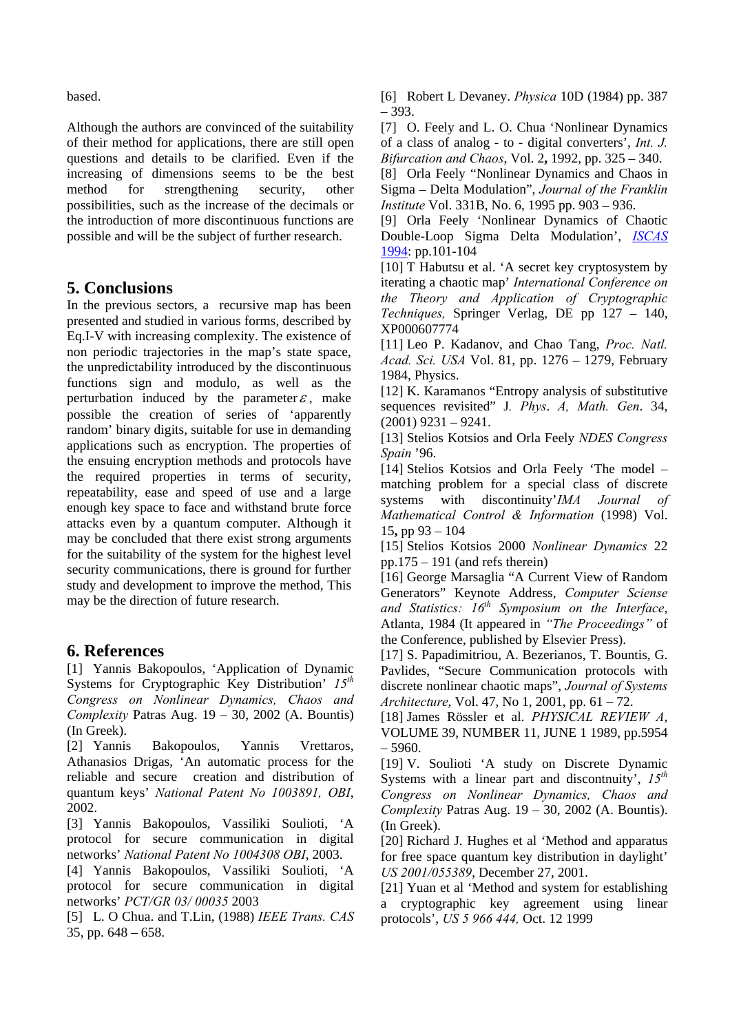based.

Although the authors are convinced of the suitability of their method for applications, there are still open questions and details to be clarified. Even if the increasing of dimensions seems to be the best method for strengthening security, other possibilities, such as the increase of the decimals or the introduction of more discontinuous functions are possible and will be the subject of further research.

## **5. Conclusions**

In the previous sectors, a recursive map has been presented and studied in various forms, described by Eq.I-V with increasing complexity. The existence of non periodic trajectories in the map's state space, the unpredictability introduced by the discontinuous functions sign and modulo, as well as the perturbation induced by the parameter  $\varepsilon$ , make possible the creation of series of 'apparently random' binary digits, suitable for use in demanding applications such as encryption. The properties of the ensuing encryption methods and protocols have the required properties in terms of security, repeatability, ease and speed of use and a large enough key space to face and withstand brute force attacks even by a quantum computer. Although it may be concluded that there exist strong arguments for the suitability of the system for the highest level security communications, there is ground for further study and development to improve the method, This may be the direction of future research.

## **6. References**

[1] Yannis Bakopoulos, 'Application of Dynamic Systems for Cryptographic Key Distribution' 15<sup>th</sup> *Congress on Nonlinear Dynamics, Chaos and Complexity* Patras Aug. 19 – 30, 2002 (A. Bountis) (In Greek).

[2] Yannis Bakopoulos, Yannis Vrettaros, Athanasios Drigas, 'An automatic process for the reliable and secure creation and distribution of quantum keys' *National Patent Νο 1003891, ΟΒΙ*, 2002.

[3] Yannis Bakopoulos, Vassiliki Soulioti, 'A protocol for secure communication in digital networks' *National Patent Νο 1004308 ΟΒΙ*, 2003.

[4] Yannis Bakopoulos, Vassiliki Soulioti, 'A protocol for secure communication in digital networks' *PCT/GR 03/ 00035* 2003

[5] L. O Chua. and T.Lin, (1988) *IEEE Trans. CAS* 35, pp. 648 – 658.

[6] Robert L Devaney. *Physica* 10D (1984) pp. 387 – 393.

[7] O. Feely and L. O. Chua 'Nonlinear Dynamics of a class of analog - to - digital converters', *Int. J. Bifurcation and Chaos*, Vol. 2**,** 1992, pp. 325 – 340.

[8] Orla Feely "Nonlinear Dynamics and Chaos in Sigma – Delta Modulation", *Journal of the Franklin Institute* Vol. 331B, No. 6, 1995 pp. 903 – 936.

[9] Orla Feely 'Nonlinear Dynamics of Chaotic Double-Loop Sigma Delta Modulation', *ISCAS* 1994: pp.101-104

[10] T Habutsu et al. 'A secret key cryptosystem by iterating a chaotic map' *International Conference on the Theory and Application of Cryptographic Techniques,* Springer Verlag, DE pp 127 – 140, XP000607774

[11] Leo P. Kadanov, and Chao Tang, *Proc. Natl. Acad. Sci. USA* Vol. 81, pp. 1276 – 1279, February 1984, Physics.

[12] K. Karamanos "Entropy analysis of substitutive sequences revisited" J*. Phys*. *A, Math. Gen*. 34, (2001) 9231 – 9241.

[13] Stelios Kotsios and Orla Feely *NDES Congress Spain* '96.

[14] Stelios Kotsios and Orla Feely 'The model – matching problem for a special class of discrete systems with discontinuity'*IMA Journal of Mathematical Control & Information* (1998) Vol. 15**,** pp 93 – 104

[15] Stelios Kotsios 2000 *Nonlinear Dynamics* 22 pp.175 – 191 (and refs therein)

[16] George Marsaglia "A Current View of Random Generators" Keynote Address, *Computer Sciense and Statistics: 16th Symposium on the Interface*, Atlanta, 1984 (It appeared in *"The Proceedings"* of the Conference, published by Elsevier Press).

[17] S. Papadimitriou, A. Bezerianos, T. Bountis, G. Pavlides, "Secure Communication protocols with discrete nonlinear chaotic maps", *Journal of Systems Architecture*, Vol. 47, No 1, 2001, pp. 61 – 72.

[18] James Rössler et al. *PHYSICAL REVIEW A*, VOLUME 39, NUMBER 11, JUNE 1 1989, pp.5954  $-5960.$ 

[19] V. Soulioti 'A study on Discrete Dynamic Systems with a linear part and discontnuity',  $15^{th}$ *Congress on Nonlinear Dynamics, Chaos and Complexity* Patras Aug. 19 – 30, 2002 (A. Bountis). (In Greek).

[20] Richard J. Hughes et al 'Method and apparatus for free space quantum key distribution in daylight' *US 2001/055389*, December 27, 2001.

[21] Yuan et al 'Method and system for establishing a cryptographic key agreement using linear protocols', *US 5 966 444,* Oct. 12 1999